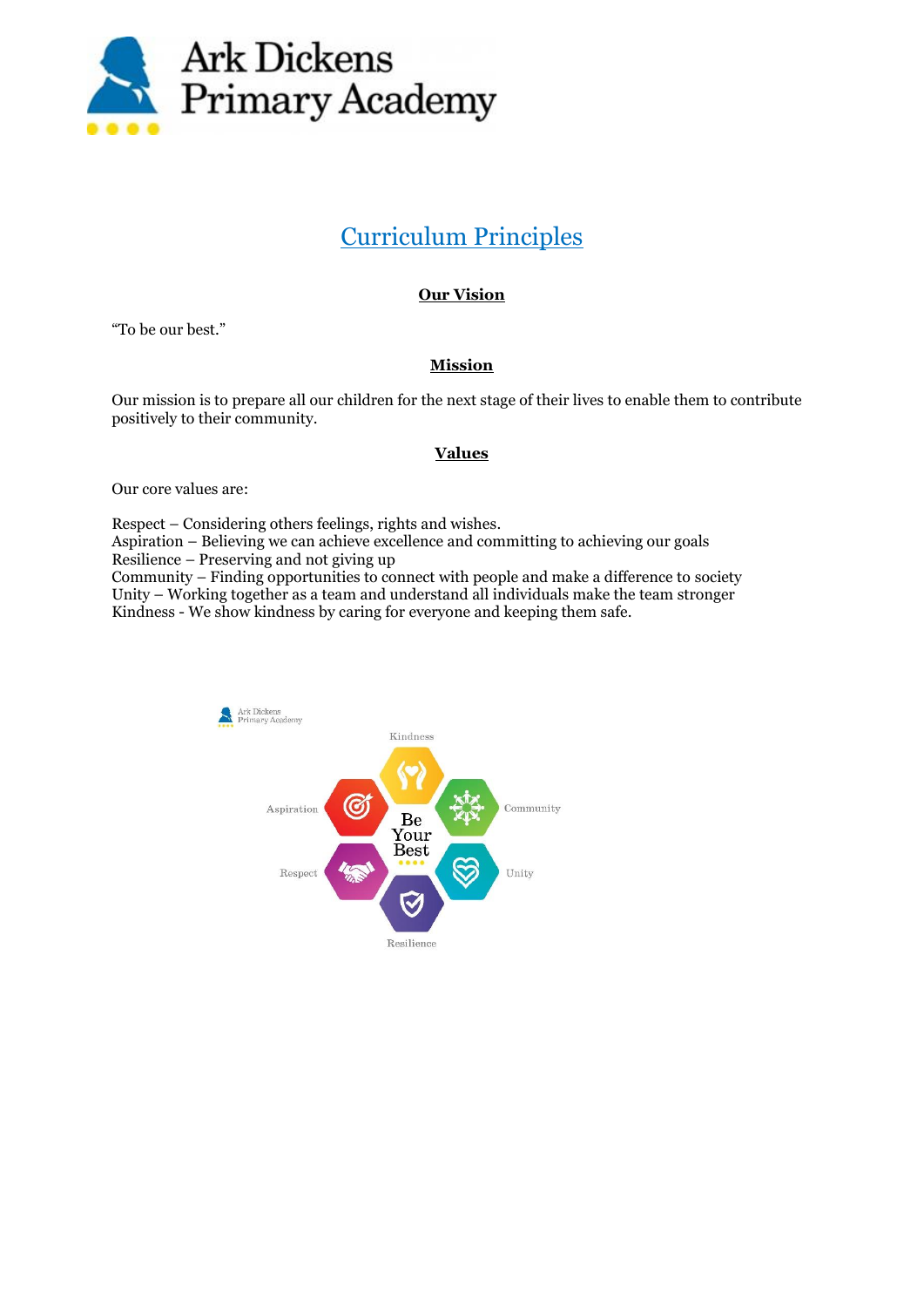

## Curriculum Principles

## **Our Vision**

"To be our best."

## **Mission**

Our mission is to prepare all our children for the next stage of their lives to enable them to contribute positively to their community.

## **Values**

Our core values are:

Respect – Considering others feelings, rights and wishes.

Aspiration – Believing we can achieve excellence and committing to achieving our goals Resilience – Preserving and not giving up

Community – Finding opportunities to connect with people and make a difference to society Unity – Working together as a team and understand all individuals make the team stronger Kindness - We show kindness by caring for everyone and keeping them safe.

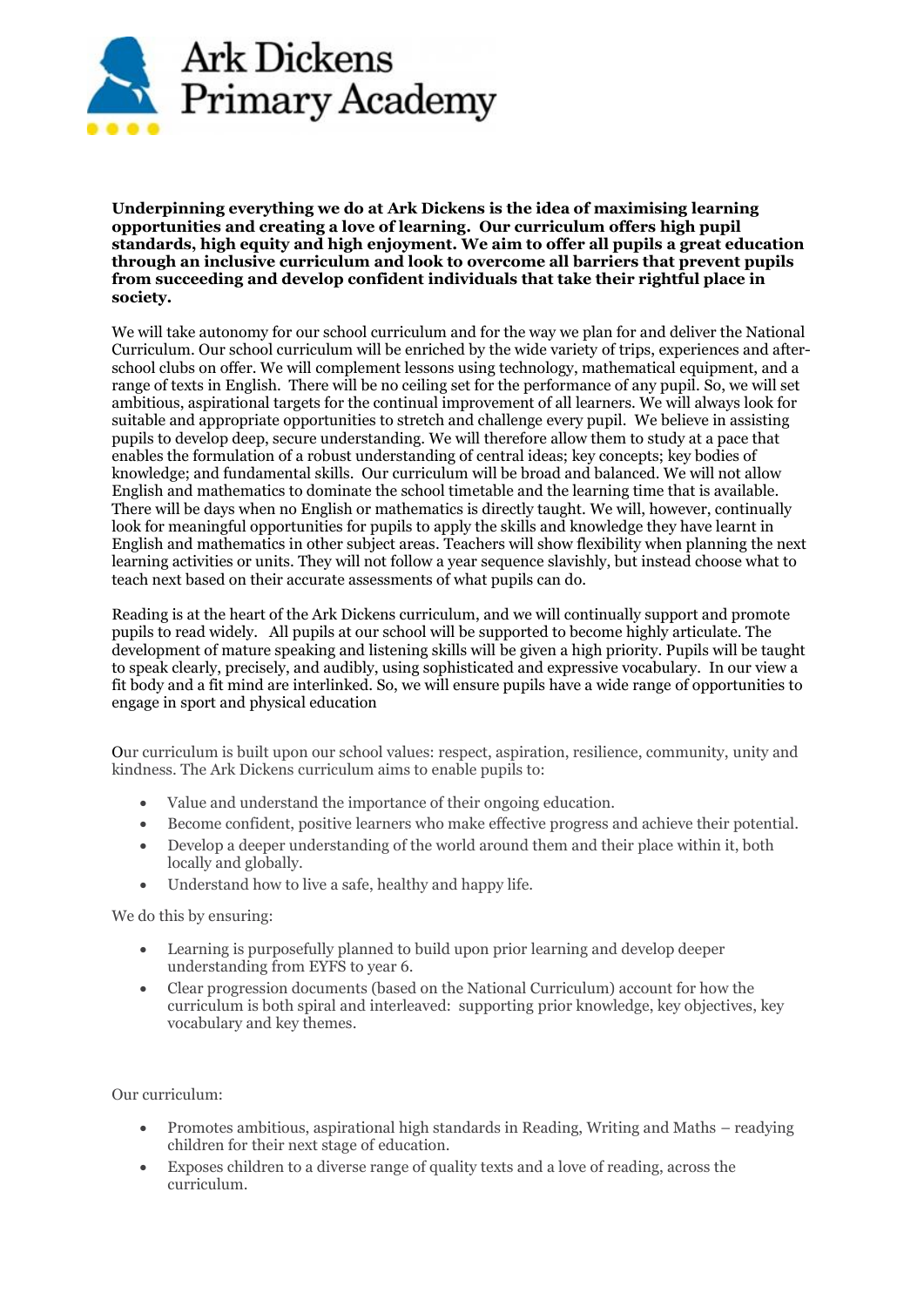

**Underpinning everything we do at Ark Dickens is the idea of maximising learning opportunities and creating a love of learning. Our curriculum offers high pupil standards, high equity and high enjoyment. We aim to offer all pupils a great education through an inclusive curriculum and look to overcome all barriers that prevent pupils from succeeding and develop confident individuals that take their rightful place in society.** 

We will take autonomy for our school curriculum and for the way we plan for and deliver the National Curriculum. Our school curriculum will be enriched by the wide variety of trips, experiences and afterschool clubs on offer. We will complement lessons using technology, mathematical equipment, and a range of texts in English. There will be no ceiling set for the performance of any pupil. So, we will set ambitious, aspirational targets for the continual improvement of all learners. We will always look for suitable and appropriate opportunities to stretch and challenge every pupil. We believe in assisting pupils to develop deep, secure understanding. We will therefore allow them to study at a pace that enables the formulation of a robust understanding of central ideas; key concepts; key bodies of knowledge; and fundamental skills. Our curriculum will be broad and balanced. We will not allow English and mathematics to dominate the school timetable and the learning time that is available. There will be days when no English or mathematics is directly taught. We will, however, continually look for meaningful opportunities for pupils to apply the skills and knowledge they have learnt in English and mathematics in other subject areas. Teachers will show flexibility when planning the next learning activities or units. They will not follow a year sequence slavishly, but instead choose what to teach next based on their accurate assessments of what pupils can do.

Reading is at the heart of the Ark Dickens curriculum, and we will continually support and promote pupils to read widely. All pupils at our school will be supported to become highly articulate. The development of mature speaking and listening skills will be given a high priority. Pupils will be taught to speak clearly, precisely, and audibly, using sophisticated and expressive vocabulary. In our view a fit body and a fit mind are interlinked. So, we will ensure pupils have a wide range of opportunities to engage in sport and physical education

Our curriculum is built upon our school values: respect, aspiration, resilience, community, unity and kindness. The Ark Dickens curriculum aims to enable pupils to:

- Value and understand the importance of their ongoing education.
- Become confident, positive learners who make effective progress and achieve their potential.
- Develop a deeper understanding of the world around them and their place within it, both locally and globally.
- Understand how to live a safe, healthy and happy life.

We do this by ensuring:

- Learning is purposefully planned to build upon prior learning and develop deeper understanding from EYFS to year 6.
- Clear progression documents (based on the National Curriculum) account for how the curriculum is both spiral and interleaved: supporting prior knowledge, key objectives, key vocabulary and key themes.

Our curriculum:

- Promotes ambitious, aspirational high standards in Reading, Writing and Maths readying children for their next stage of education.
- Exposes children to a diverse range of quality texts and a love of reading, across the curriculum.